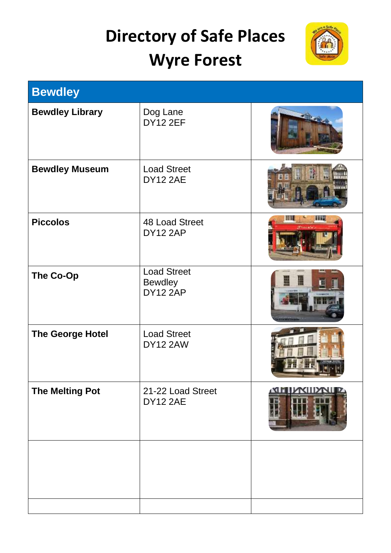## **Directory of Safe Places Wyre Forest**



| <b>Bewdley</b>          |                                                         |                   |
|-------------------------|---------------------------------------------------------|-------------------|
| <b>Bewdley Library</b>  | Dog Lane<br><b>DY12 2EF</b>                             |                   |
| <b>Bewdley Museum</b>   | <b>Load Street</b><br><b>DY12 2AE</b>                   | Eh                |
| <b>Piccolos</b>         | <b>48 Load Street</b><br><b>DY12 2AP</b>                | <b>III.</b><br>普特 |
| The Co-Op               | <b>Load Street</b><br><b>Bewdley</b><br><b>DY12 2AP</b> |                   |
| <b>The George Hotel</b> | <b>Load Street</b><br><b>DY12 2AW</b>                   |                   |
| <b>The Melting Pot</b>  | 21-22 Load Street<br><b>DY12 2AE</b>                    | KIIDNII           |
|                         |                                                         |                   |
|                         |                                                         |                   |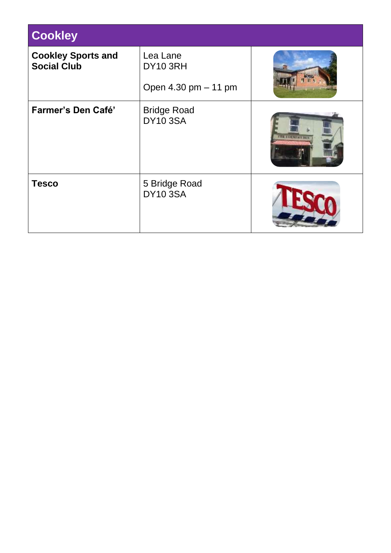| <b>Cookley</b>                                  |                                              |                      |
|-------------------------------------------------|----------------------------------------------|----------------------|
| <b>Cookley Sports and</b><br><b>Social Club</b> | Lea Lane<br>DY10 3RH<br>Open 4.30 pm - 11 pm |                      |
| Farmer's Den Café'                              | <b>Bridge Road</b><br><b>DY10 3SA</b>        | <b>THE FARMITREE</b> |
| <b>Tesco</b>                                    | 5 Bridge Road<br><b>DY10 3SA</b>             |                      |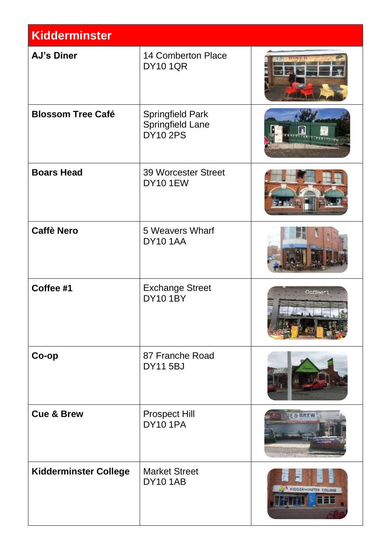| <b>Kidderminster</b>         |                                                                       |                                    |
|------------------------------|-----------------------------------------------------------------------|------------------------------------|
| <b>AJ's Diner</b>            | <b>14 Comberton Place</b><br><b>DY10 1QR</b>                          |                                    |
| <b>Blossom Tree Café</b>     | <b>Springfield Park</b><br><b>Springfield Lane</b><br><b>DY10 2PS</b> |                                    |
| <b>Boars Head</b>            | <b>39 Worcester Street</b><br><b>DY101EW</b>                          |                                    |
| <b>Caffè Nero</b>            | 5 Weavers Wharf<br><b>DY10 1AA</b>                                    |                                    |
| Coffee #1                    | <b>Exchange Street</b><br><b>DY10 1BY</b>                             | Coffee*1                           |
| Co-op                        | 87 Franche Road<br><b>DY11 5BJ</b>                                    |                                    |
| <b>Cue &amp; Brew</b>        | <b>Prospect Hill</b><br><b>DY10 1PA</b>                               | <b>UE&amp; BREW</b>                |
| <b>Kidderminster College</b> | <b>Market Street</b><br><b>DY101AB</b>                                | <b>KIDDERMINSTER COLLEG</b><br>eer |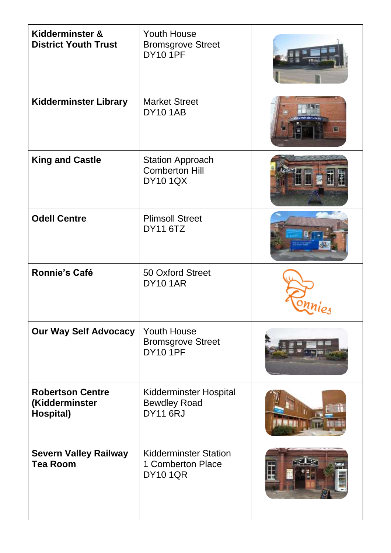| Kidderminster &<br><b>District Youth Trust</b>         | <b>Youth House</b><br><b>Bromsgrove Street</b><br><b>DY10 1PF</b>       |   |
|--------------------------------------------------------|-------------------------------------------------------------------------|---|
| <b>Kidderminster Library</b>                           | <b>Market Street</b><br><b>DY101AB</b>                                  | 囸 |
| <b>King and Castle</b>                                 | <b>Station Approach</b><br><b>Comberton Hill</b><br><b>DY10 1QX</b>     | H |
| <b>Odell Centre</b>                                    | <b>Plimsoll Street</b><br><b>DY11 6TZ</b>                               |   |
| <b>Ronnie's Café</b>                                   | <b>50 Oxford Street</b><br><b>DY101AR</b>                               |   |
| <b>Our Way Self Advocacy</b>                           | <b>Youth House</b><br><b>Bromsgrove Street</b><br><b>DY10 1PF</b>       |   |
| <b>Robertson Centre</b><br>(Kidderminster<br>Hospital) | <b>Kidderminster Hospital</b><br><b>Bewdley Road</b><br><b>DY11 6RJ</b> |   |
| <b>Severn Valley Railway</b><br><b>Tea Room</b>        | <b>Kidderminster Station</b><br>1 Comberton Place<br><b>DY10 1QR</b>    |   |
|                                                        |                                                                         |   |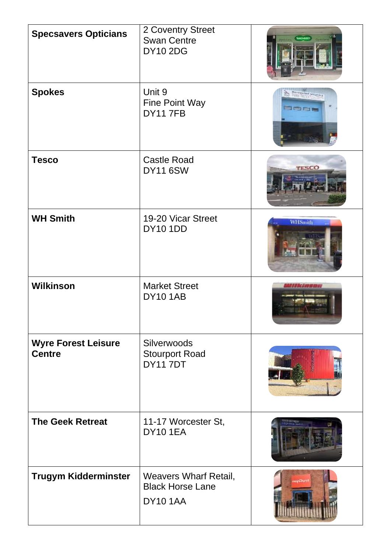| <b>Specsavers Opticians</b>                 | 2 Coventry Street<br><b>Swan Centre</b><br><b>DY10 2DG</b>                 |                |
|---------------------------------------------|----------------------------------------------------------------------------|----------------|
| <b>Spokes</b>                               | Unit 9<br>Fine Point Way<br><b>DY117FB</b>                                 | Oenr           |
| <b>Tesco</b>                                | <b>Castle Road</b><br><b>DY11 6SW</b>                                      | TESCO          |
| <b>WH Smith</b>                             | 19-20 Vicar Street<br><b>DY10 1DD</b>                                      | <b>WHSmith</b> |
| <b>Wilkinson</b>                            | <b>Market Street</b><br><b>DY101AB</b>                                     | Willie imman   |
| <b>Wyre Forest Leisure</b><br><b>Centre</b> | Silverwoods<br><b>Stourport Road</b><br><b>DY117DT</b>                     |                |
| <b>The Geek Retreat</b>                     | 11-17 Worcester St,<br><b>DY101EA</b>                                      |                |
| <b>Trugym Kidderminster</b>                 | <b>Weavers Wharf Retail,</b><br><b>Black Horse Lane</b><br><b>DY10 1AA</b> |                |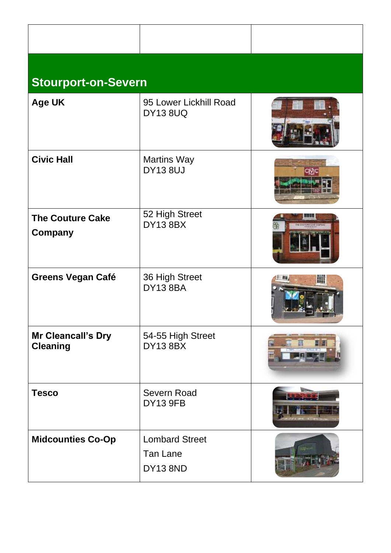| <b>Stourport-on-Severn</b>                |                                                      |                     |
|-------------------------------------------|------------------------------------------------------|---------------------|
| <b>Age UK</b>                             | 95 Lower Lickhill Road<br><b>DY13 8UQ</b>            |                     |
| <b>Civic Hall</b>                         | <b>Martins Way</b><br><b>DY13 8UJ</b>                | avjc                |
| <b>The Couture Cake</b><br><b>Company</b> | 52 High Street<br><b>DY13 8BX</b>                    | HE STATURE CAMP COM |
| <b>Greens Vegan Café</b>                  | 36 High Street<br><b>DY13 8BA</b>                    | 朧                   |
| Mr Cleancall's Dry<br><b>Cleaning</b>     | 54-55 High Street<br><b>DY13 8BX</b>                 |                     |
| <b>Tesco</b>                              | <b>Severn Road</b><br><b>DY13 9FB</b>                |                     |
| <b>Midcounties Co-Op</b>                  | <b>Lombard Street</b><br>Tan Lane<br><b>DY13 8ND</b> |                     |